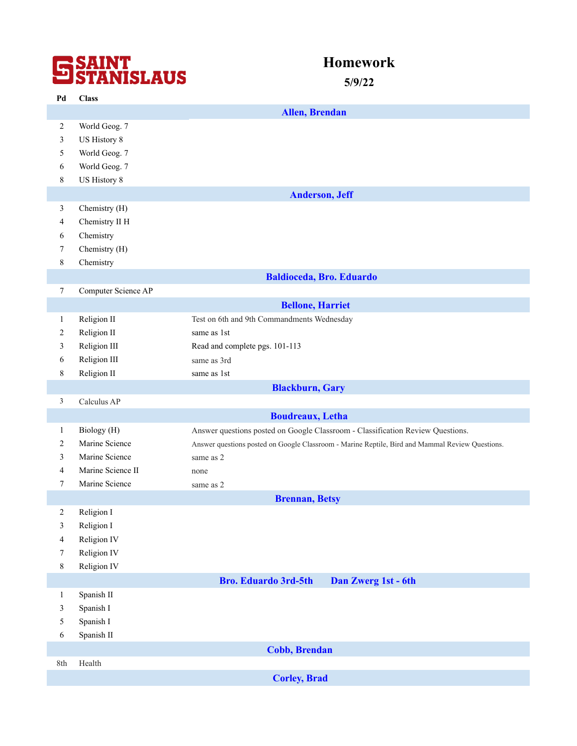## **SSAINT**<br>STANISLAUS

## **Homework**

**5/9/22**

| Pd                       | <b>Class</b>        |                                                                                                 |
|--------------------------|---------------------|-------------------------------------------------------------------------------------------------|
|                          |                     | <b>Allen, Brendan</b>                                                                           |
| $\overline{c}$           | World Geog. 7       |                                                                                                 |
| 3                        | US History 8        |                                                                                                 |
| 5                        | World Geog. 7       |                                                                                                 |
| 6                        | World Geog. 7       |                                                                                                 |
| 8                        | US History 8        |                                                                                                 |
|                          |                     | <b>Anderson, Jeff</b>                                                                           |
| 3                        | Chemistry (H)       |                                                                                                 |
| 4                        | Chemistry II H      |                                                                                                 |
| 6                        | Chemistry           |                                                                                                 |
| 7                        | Chemistry (H)       |                                                                                                 |
| 8                        | Chemistry           |                                                                                                 |
|                          |                     | <b>Baldioceda, Bro. Eduardo</b>                                                                 |
| $\tau$                   | Computer Science AP |                                                                                                 |
|                          |                     | <b>Bellone, Harriet</b>                                                                         |
| 1                        | Religion II         | Test on 6th and 9th Commandments Wednesday                                                      |
| 2                        | Religion II         | same as 1st                                                                                     |
| 3                        | Religion III        | Read and complete pgs. 101-113                                                                  |
| 6                        | Religion III        | same as 3rd                                                                                     |
| 8                        | Religion II         | same as 1st                                                                                     |
|                          |                     | <b>Blackburn, Gary</b>                                                                          |
| 3                        | Calculus AP         |                                                                                                 |
|                          |                     | <b>Boudreaux</b> , Letha                                                                        |
| $\mathbf{1}$             | Biology (H)         | Answer questions posted on Google Classroom - Classification Review Questions.                  |
| $\overline{2}$           | Marine Science      | Answer questions posted on Google Classroom - Marine Reptile, Bird and Mammal Review Questions. |
| 3                        | Marine Science      | same as 2                                                                                       |
| 4                        | Marine Science II   |                                                                                                 |
| 7                        | Marine Science      | none<br>same as 2                                                                               |
|                          |                     |                                                                                                 |
|                          | Religion I          | <b>Brennan</b> , Betsy                                                                          |
| $\overline{\mathbf{c}}$  | Religion I          |                                                                                                 |
| 3                        |                     |                                                                                                 |
| $\overline{\mathcal{A}}$ | Religion IV         |                                                                                                 |
| 7                        | Religion IV         |                                                                                                 |
| $\,8\,$                  | Religion IV         |                                                                                                 |
|                          |                     | <b>Bro. Eduardo 3rd-5th</b><br>Dan Zwerg 1st - 6th                                              |
| $\mathbf{1}$             | Spanish II          |                                                                                                 |
| 3                        | Spanish I           |                                                                                                 |
| 5                        | Spanish I           |                                                                                                 |
| 6                        | Spanish II          |                                                                                                 |
|                          |                     | <b>Cobb, Brendan</b>                                                                            |
| 8th                      | Health              |                                                                                                 |
|                          |                     | <b>Corley, Brad</b>                                                                             |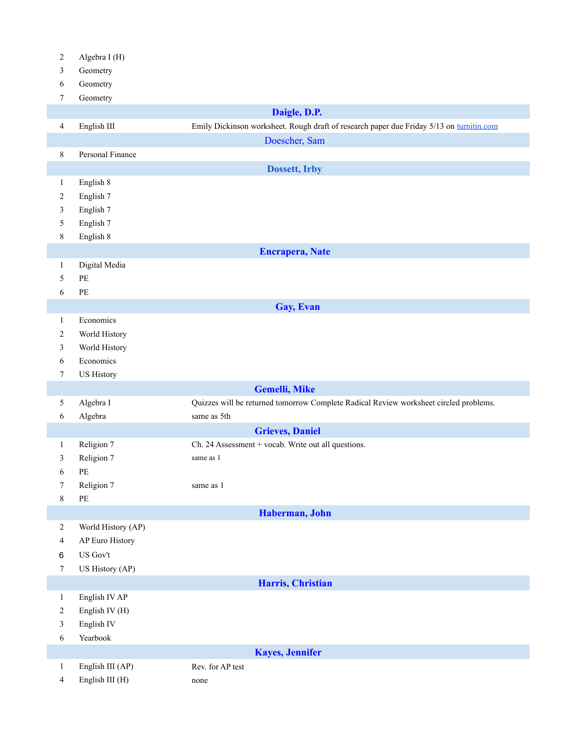| $\bigcap$ | Algebra I (H) |
|-----------|---------------|
|-----------|---------------|

- Geometry
- Geometry
- Geometry

|                                | $\sim$                                | Daigle, D.P.                                                                             |
|--------------------------------|---------------------------------------|------------------------------------------------------------------------------------------|
| $\overline{4}$                 | English III                           | Emily Dickinson worksheet. Rough draft of research paper due Friday 5/13 on turnitin.com |
|                                |                                       | Doescher, Sam                                                                            |
| $\,8\,$                        | Personal Finance                      |                                                                                          |
|                                |                                       | <b>Dossett, Irby</b>                                                                     |
| $\mathbf{1}$                   | English 8                             |                                                                                          |
| 2                              | English 7                             |                                                                                          |
| 3                              | English 7                             |                                                                                          |
| 5                              | English 7                             |                                                                                          |
| 8                              | English 8                             |                                                                                          |
|                                |                                       | <b>Encrapera, Nate</b>                                                                   |
| $\mathbf{1}$                   | Digital Media                         |                                                                                          |
| 5                              | $\rm PE$                              |                                                                                          |
| 6                              | $\rm PE$                              |                                                                                          |
|                                |                                       | Gay, Evan                                                                                |
| $\mathbf{1}$                   | Economics                             |                                                                                          |
| $\overline{c}$                 | World History                         |                                                                                          |
| 3                              | World History                         |                                                                                          |
| 6                              | Economics                             |                                                                                          |
| 7                              | <b>US History</b>                     |                                                                                          |
|                                |                                       | <b>Gemelli, Mike</b>                                                                     |
| $\sqrt{5}$                     | Algebra I                             | Quizzes will be returned tomorrow Complete Radical Review worksheet circled problems.    |
| 6                              | Algebra                               | same as 5th                                                                              |
|                                |                                       | <b>Grieves</b> , Daniel                                                                  |
| $\mathbf{1}$                   | Religion 7                            | Ch. 24 Assessment + vocab. Write out all questions.                                      |
| 3                              | Religion 7                            | same as 1                                                                                |
| 6                              | $\ensuremath{\mathop{\text{\rm PE}}}$ |                                                                                          |
| 7                              | Religion 7                            | same as 1                                                                                |
| $\,8\,$                        | $\rm PE$                              |                                                                                          |
|                                |                                       | Haberman, John                                                                           |
| $\overline{c}$                 | World History (AP)<br>AP Euro History |                                                                                          |
| 4                              | US Gov't                              |                                                                                          |
| 6<br>$\boldsymbol{7}$          | US History (AP)                       |                                                                                          |
|                                |                                       |                                                                                          |
|                                | English IV AP                         | Harris, Christian                                                                        |
| $\mathbf{1}$<br>$\overline{c}$ | English IV (H)                        |                                                                                          |
| 3                              | English IV                            |                                                                                          |
| 6                              | Yearbook                              |                                                                                          |
|                                |                                       | <b>Kayes, Jennifer</b>                                                                   |
| $\mathbf{1}$                   | English III (AP)                      | Rev. for AP test                                                                         |
| $\overline{4}$                 | English III (H)                       | none                                                                                     |
|                                |                                       |                                                                                          |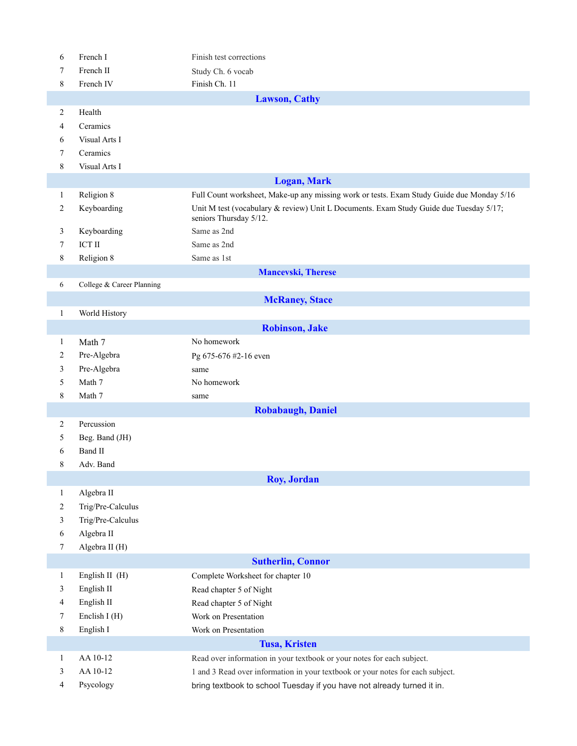| 6              | French I                    | Finish test corrections                                                                                          |  |
|----------------|-----------------------------|------------------------------------------------------------------------------------------------------------------|--|
| 7              | French II                   | Study Ch. 6 vocab                                                                                                |  |
| 8              | French IV                   | Finish Ch. 11                                                                                                    |  |
|                |                             | <b>Lawson, Cathy</b>                                                                                             |  |
| $\sqrt{2}$     | Health                      |                                                                                                                  |  |
| 4              | Ceramics                    |                                                                                                                  |  |
| 6              | Visual Arts I               |                                                                                                                  |  |
| 7              | Ceramics                    |                                                                                                                  |  |
| $\,8\,$        | Visual Arts I               |                                                                                                                  |  |
|                |                             | <b>Logan, Mark</b>                                                                                               |  |
| 1              | Religion 8                  | Full Count worksheet, Make-up any missing work or tests. Exam Study Guide due Monday 5/16                        |  |
| $\sqrt{2}$     | Keyboarding                 | Unit M test (vocabulary & review) Unit L Documents. Exam Study Guide due Tuesday 5/17;<br>seniors Thursday 5/12. |  |
| 3              | Keyboarding                 | Same as 2nd                                                                                                      |  |
| 7              | $\operatorname{ICT} \amalg$ | Same as 2nd                                                                                                      |  |
| 8              | Religion 8                  | Same as 1st                                                                                                      |  |
|                |                             | <b>Mancevski</b> , Therese                                                                                       |  |
| 6              | College & Career Planning   |                                                                                                                  |  |
|                |                             | <b>McRaney</b> , Stace                                                                                           |  |
| $\mathbf{1}$   | World History               |                                                                                                                  |  |
|                |                             | <b>Robinson</b> , Jake                                                                                           |  |
| $\mathbf{1}$   | Math 7                      | No homework                                                                                                      |  |
| $\overline{c}$ | Pre-Algebra                 | Pg 675-676 #2-16 even                                                                                            |  |
| 3              | Pre-Algebra                 | same                                                                                                             |  |
| 5              | Math 7                      | No homework                                                                                                      |  |
| 8              | Math 7                      | same                                                                                                             |  |
|                |                             | <b>Robabaugh, Daniel</b>                                                                                         |  |
| $\overline{c}$ | Percussion                  |                                                                                                                  |  |
| 5              | Beg. Band (JH)              |                                                                                                                  |  |
| 6              | Band II                     |                                                                                                                  |  |
| 8              | Adv. Band                   |                                                                                                                  |  |
|                |                             | <b>Roy, Jordan</b>                                                                                               |  |
| $\mathbf{1}$   | Algebra II                  |                                                                                                                  |  |
| $\overline{c}$ | Trig/Pre-Calculus           |                                                                                                                  |  |
| 3              | Trig/Pre-Calculus           |                                                                                                                  |  |
| $\sqrt{6}$     | Algebra II                  |                                                                                                                  |  |
| $\tau$         | Algebra II (H)              |                                                                                                                  |  |
|                |                             | <b>Sutherlin, Connor</b>                                                                                         |  |
| $\mathbf{1}$   | English II (H)              | Complete Worksheet for chapter 10                                                                                |  |
| 3              | English II                  | Read chapter 5 of Night                                                                                          |  |
| $\overline{4}$ | English II                  | Read chapter 5 of Night                                                                                          |  |
| 7              | Enclish I (H)               | Work on Presentation                                                                                             |  |
| 8              | English I                   | Work on Presentation                                                                                             |  |
|                | <b>Tusa, Kristen</b>        |                                                                                                                  |  |
| $\mathbf{1}$   | AA 10-12                    | Read over information in your textbook or your notes for each subject.                                           |  |
| 3              | AA 10-12                    | 1 and 3 Read over information in your textbook or your notes for each subject.                                   |  |
| $\overline{4}$ | Psycology                   | bring textbook to school Tuesday if you have not already turned it in.                                           |  |